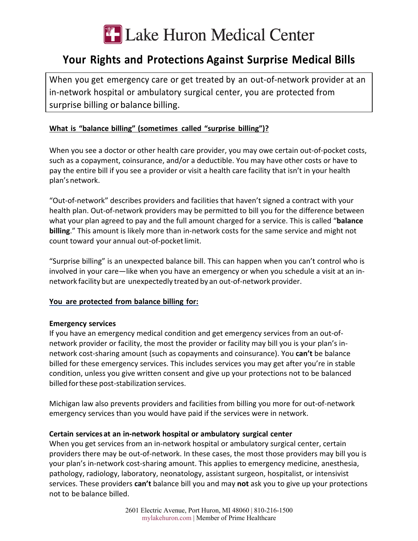

# **Your Rights and Protections Against Surprise Medical Bills**

When you get emergency care or get treated by an out-of-network provider at an in-network hospital or ambulatory surgical center, you are protected from surprise billing or balance billing.

## **What is "balance billing" (sometimes called "surprise billing")?**

When you see a doctor or other health care provider, you may owe certain out-of-pocket costs, such as a copayment, coinsurance, and/or a deductible. You may have other costs or have to pay the entire bill if you see a provider or visit a health care facility that isn't in your health plan's network.

"Out-of-network" describes providers and facilities that haven't signed a contract with your health plan. Out-of-network providers may be permitted to bill you for the difference between what your plan agreed to pay and the full amount charged for a service. This is called "**balance billing**." This amount is likely more than in-network costs for the same service and might not count toward your annual out-of-pocket limit.

"Surprise billing" is an unexpected balance bill. This can happen when you can't control who is involved in your care—like when you have an emergency or when you schedule a visit at an innetwork facility but are unexpectedly treated by an out-of-network provider.

## **You are protected from balance billing for:**

#### **Emergency services**

If you have an emergency medical condition and get emergency services from an out-ofnetwork provider or facility, the most the provider or facility may bill you is your plan's innetwork cost-sharing amount (such as copayments and coinsurance). You **can't** be balance billed for these emergency services. This includes services you may get after you're in stable condition, unless you give written consent and give up your protections not to be balanced billed forthese post-stabilization services.

Michigan law also prevents providers and facilities from billing you more for out-of-network emergency services than you would have paid if the services were in network.

#### **Certain services at an in-network hospital or ambulatory surgical center**

When you get services from an in-network hospital or ambulatory surgical center, certain providers there may be out-of-network. In these cases, the most those providers may bill you is your plan's in-network cost-sharing amount. This applies to emergency medicine, anesthesia, pathology, radiology, laboratory, neonatology, assistant surgeon, hospitalist, or intensivist services. These providers **can't** balance bill you and may **not** ask you to give up your protections not to be balance billed.